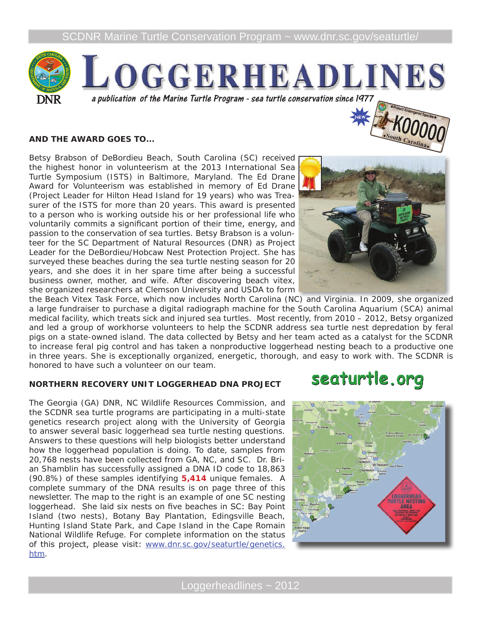

#### **AND THE AWARD GOES TO...**

Betsy Brabson of DeBordieu Beach, South Carolina (SC) received the highest honor in volunteerism at the 2013 International Sea Turtle Symposium (ISTS) in Baltimore, Maryland. The Ed Drane Award for Volunteerism was established in memory of Ed Drane (Project Leader for Hilton Head Island for 19 years) who was Treasurer of the ISTS for more than 20 years. This award is presented to a person who is working outside his or her professional life who voluntarily commits a significant portion of their time, energy, and passion to the conservation of sea turtles. Betsy Brabson is a volunteer for the SC Department of Natural Resources (DNR) as Project Leader for the DeBordieu/Hobcaw Nest Protection Project. She has surveyed these beaches during the sea turtle nesting season for 20 years, and she does it in her spare time after being a successful business owner, mother, and wife. After discovering beach vitex, she organized researchers at Clemson University and USDA to form

the Beach Vitex Task Force, which now includes North Carolina (NC) and Virginia. In 2009, she organized a large fundraiser to purchase a digital radiograph machine for the South Carolina Aquarium (SCA) animal medical facility, which treats sick and injured sea turtles. Most recently, from 2010 – 2012, Betsy organized and led a group of workhorse volunteers to help the SCDNR address sea turtle nest depredation by feral pigs on a state-owned island. The data collected by Betsy and her team acted as a catalyst for the SCDNR to increase feral pig control and has taken a nonproductive loggerhead nesting beach to a productive one in three years. She is exceptionally organized, energetic, thorough, and easy to work with. The SCDNR is honored to have such a volunteer on our team. seaturtle.org

#### **NORTHERN RECOVERY UNIT LOGGERHEAD DNA PROJECT**

The Georgia (GA) DNR, NC Wildlife Resources Commission, and the SCDNR sea turtle programs are participating in a multi-state genetics research project along with the University of Georgia to answer several basic loggerhead sea turtle nesting questions. Answers to these questions will help biologists better understand how the loggerhead population is doing. To date, samples from 20,768 nests have been collected from GA, NC, and SC. Dr. Brian Shamblin has successfully assigned a DNA ID code to 18,863 (90.8%) of these samples identifying **5,414** unique females. A complete summary of the DNA results is on page three of this newsletter. The map to the right is an example of one SC nesting loggerhead. She laid six nests on five beaches in SC: Bay Point Island (two nests), Botany Bay Plantation, Edingsville Beach, Hunting Island State Park, and Cape Island in the Cape Romain National Wildlife Refuge. For complete information on the status of this project, please visit: www.dnr.sc.gov/seaturtle/genetics. htm.



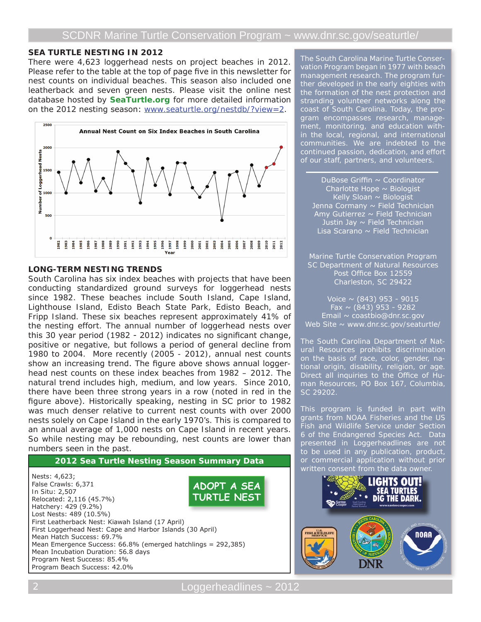#### **SEA TURTLE NESTING IN 2012**

There were 4,623 loggerhead nests on project beaches in 2012. Please refer to the table at the top of page five in this newsletter for nest counts on individual beaches. This season also included one leatherback and seven green nests. Please visit the online nest database hosted by **SeaTurtle.org** for more detailed information on the 2012 nesting season: www.seaturtle.org/nestdb/?view=2.



### **LONG-TERM NESTING TRENDS**

South Carolina has six index beaches with projects that have been conducting standardized ground surveys for loggerhead nests since 1982. These beaches include South Island, Cape Island, Lighthouse Island, Edisto Beach State Park, Edisto Beach, and Fripp Island. These six beaches represent approximately 41% of the nesting effort. The annual number of loggerhead nests over this 30 year period (1982 - 2012) indicates no significant change, positive or negative, but follows a period of general decline from 1980 to 2004. More recently (2005 - 2012), annual nest counts show an increasing trend. The figure above shows annual loggerhead nest counts on these index beaches from 1982 – 2012. The natural trend includes high, medium, and low years. Since 2010, there have been three strong years in a row (noted in red in the figure above). Historically speaking, nesting in SC prior to 1982 was much denser relative to current nest counts with over 2000 nests solely on Cape Island in the early 1970's. This is compared to an annual average of 1,000 nests on Cape Island in recent years. So while nesting may be rebounding, nest counts are lower than numbers seen in the past.

#### **2012 Sea Turtle Nesting Season Summary Data**

Nests: 4,623; False Crawls: 6,371 *In Situ*: 2,507 Relocated: 2,116 (45.7%) Hatchery: 429 (9.2%) Lost Nests: 489 (10.5%) First Leatherback Nest: Kiawah Island (17 April) First Loggerhead Nest: Cape and Harbor Islands (30 April) Mean Hatch Success: 69.7% Mean Emergence Success: 66.8% (emerged hatchlings = 292,385) Mean Incubation Duration: 56.8 days Program Nest Success: 85.4% Program Beach Success: 42.0% **ADOPT A SEA TURTLE NEST**

The South Carolina Marine Turtle Conservation Program began in 1977 with beach management research. The program further developed in the early eighties with the formation of the nest protection and stranding volunteer networks along the coast of South Carolina. Today, the program encompasses research, management, monitoring, and education within the local, regional, and international communities. We are indebted to the continued passion, dedication, and effort of our staff, partners, and volunteers.

DuBose Griffin  $\sim$  Coordinator Charlotte Hope  $\sim$  Biologist Kelly Sloan  $\sim$  Biologist Jenna Cormany ~ Field Technician Amy Gutierrez ~ Field Technician Justin Jay ~ Field Technician Lisa Scarano ~ Field Technician

Marine Turtle Conservation Program SC Department of Natural Resources Post Office Box 12559 Charleston, SC 29422

Voice  $\sim$  (843) 953 - 9015 Fax  $\sim$  (843) 953 - 9282 Email ~ coastbio@dnr.sc.gov Web Site  $\sim$  www.dnr.sc.gov/seaturtle/

The South Carolina Department of Natural Resources prohibits discrimination on the basis of race, color, gender, national origin, disability, religion, or age. Direct all inquiries to the Office of Human Resources, PO Box 167, Columbia, SC 29202.

This program is funded in part with grants from NOAA Fisheries and the US Fish and Wildlife Service under Section 6 of the Endangered Species Act. Data presented in *Loggerheadlines* are not to be used in any publication, product, or commercial application without prior written consent from the data owner.

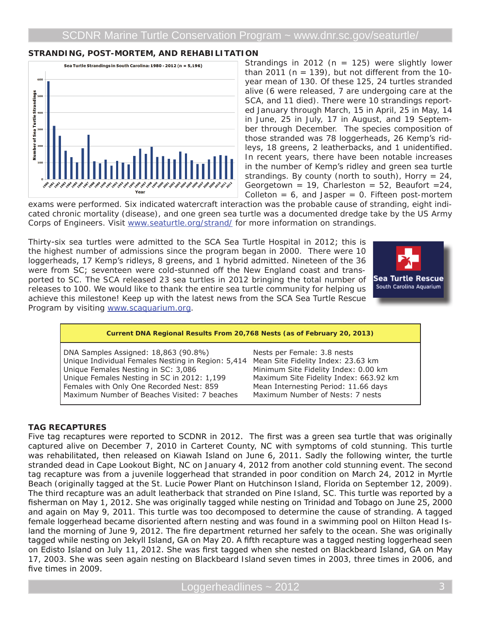## **STRANDING, POST-MORTEM, AND REHABILITATION**



Strandings in 2012 ( $n = 125$ ) were slightly lower than 2011 ( $n = 139$ ), but not different from the 10year mean of 130. Of these 125, 24 turtles stranded alive (6 were released, 7 are undergoing care at the SCA, and 11 died). There were 10 strandings reported January through March, 15 in April, 25 in May, 14 in June, 25 in July, 17 in August, and 19 September through December. The species composition of those stranded was 78 loggerheads, 26 Kemp's ridleys, 18 greens, 2 leatherbacks, and 1 unidentified. In recent years, there have been notable increases in the number of Kemp's ridley and green sea turtle strandings. By county (north to south), Horry = 24, Georgetown = 19, Charleston = 52, Beaufort =  $24$ , Colleton =  $6$ , and Jasper = 0. Fifteen post-mortem

exams were performed. Six indicated watercraft interaction was the probable cause of stranding, eight indicated chronic mortality (disease), and one green sea turtle was a documented dredge take by the US Army Corps of Engineers. Visit www.seaturtle.org/strand/ for more information on strandings.

Thirty-six sea turtles were admitted to the SCA Sea Turtle Hospital in 2012; this is the highest number of admissions since the program began in 2000. There were 10 loggerheads, 17 Kemp's ridleys, 8 greens, and 1 hybrid admitted. Nineteen of the 36 were from SC; seventeen were cold-stunned off the New England coast and transported to SC. The SCA released 23 sea turtles in 2012 bringing the total number of releases to 100. We would like to thank the entire sea turtle community for helping us achieve this milestone! Keep up with the latest news from the SCA Sea Turtle Rescue Program by visiting www.scaquarium.org.



#### **Current DNA Regional Results From 20,768 Nests (as of February 20, 2013)** DNA Samples Assigned: 18,863 (90.8%) Unique Individual Females Nesting in Region: 5,414 Unique Females Nesting in SC: 3,086 Unique Females Nesting in SC in 2012: 1,199 Females with Only One Recorded Nest: 859 Maximum Number of Beaches Visited: 7 beaches Nests per Female: 3.8 nests Mean Site Fidelity Index: 23.63 km Minimum Site Fidelity Index: 0.00 km Maximum Site Fidelity Index: 663.92 km Mean Internesting Period: 11.66 days Maximum Number of Nests: 7 nests

### **TAG RECAPTURES**

Five tag recaptures were reported to SCDNR in 2012. The first was a green sea turtle that was originally captured alive on December 7, 2010 in Carteret County, NC with symptoms of cold stunning. This turtle was rehabilitated, then released on Kiawah Island on June 6, 2011. Sadly the following winter, the turtle stranded dead in Cape Lookout Bight, NC on January 4, 2012 from another cold stunning event. The second tag recapture was from a juvenile loggerhead that stranded in poor condition on March 24, 2012 in Myrtle Beach (originally tagged at the St. Lucie Power Plant on Hutchinson Island, Florida on September 12, 2009). The third recapture was an adult leatherback that stranded on Pine Island, SC. This turtle was reported by a fisherman on May 1, 2012. She was originally tagged while nesting on Trinidad and Tobago on June 25, 2000 and again on May 9, 2011. This turtle was too decomposed to determine the cause of stranding. A tagged female loggerhead became disoriented aftern nesting and was found in a swimming pool on Hilton Head Island the morning of June 9, 2012. The fire department returned her safely to the ocean. She was originally tagged while nesting on Jekyll Island, GA on May 20. A fifth recapture was a tagged nesting loggerhead seen on Edisto Island on July 11, 2012. She was first tagged when she nested on Blackbeard Island, GA on May 17, 2003. She was seen again nesting on Blackbeard Island seven times in 2003, three times in 2006, and five times in 2009.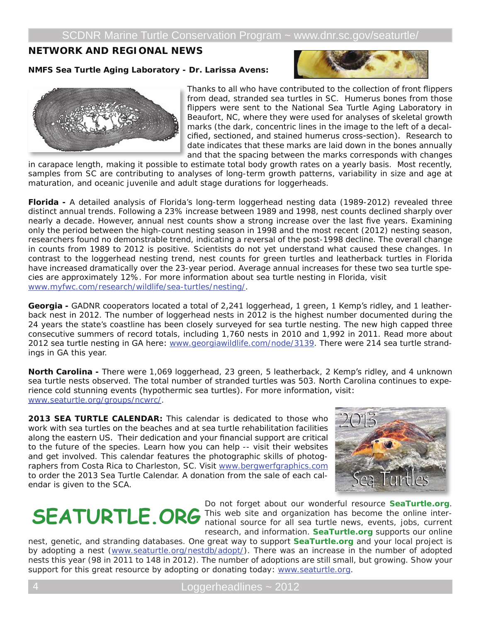# **NETWORK AND REGIONAL NEWS**

#### **NMFS Sea Turtle Aging Laboratory - Dr. Larissa Avens:**





gram for the collection of furnt flinness Thanks to all who have contributed to the collection of front flippers from dead, stranded sea turtles in SC. Humerus bones from those flippers were sent to the National Sea Turtle Aging Laboratory in Beaufort, NC, where they were used for analyses of skeletal growth marks (the dark, concentric lines in the image to the left of a decalcified, sectioned, and stained humerus cross-section). Research to date indicates that these marks are laid down in the bones annually and that the spacing between the marks corresponds with changes

in carapace length, making it possible to estimate total body growth rates on a yearly basis. Most recently, samples from SC are contributing to analyses of long-term growth patterns, variability in size and age at maturation, and oceanic juvenile and adult stage durations for loggerheads.

**Florida -** A detailed analysis of Florida's long-term loggerhead nesting data (1989-2012) revealed three distinct annual trends. Following a 23% increase between 1989 and 1998, nest counts declined sharply over nearly a decade. However, annual nest counts show a strong increase over the last five years. Examining only the period between the high-count nesting season in 1998 and the most recent (2012) nesting season, researchers found no demonstrable trend, indicating a reversal of the post-1998 decline. The overall change in counts from 1989 to 2012 is positive. Scientists do not yet understand what caused these changes. In contrast to the loggerhead nesting trend, nest counts for green turtles and leatherback turtles in Florida have increased dramatically over the 23-year period. Average annual increases for these two sea turtle species are approximately 12%. For more information about sea turtle nesting in Florida, visit www.myfwc.com/research/wildlife/sea-turtles/nesting/.

**Georgia -** GADNR cooperators located a total of 2,241 loggerhead, 1 green, 1 Kemp's ridley, and 1 leatherback nest in 2012. The number of loggerhead nests in 2012 is the highest number documented during the 24 years the state's coastline has been closely surveyed for sea turtle nesting. The new high capped three consecutive summers of record totals, including 1,760 nests in 2010 and 1,992 in 2011. Read more about 2012 sea turtle nesting in GA here: www.georgiawildlife.com/node/3139. There were 214 sea turtle strandings in GA this year.

**North Carolina -** There were 1,069 loggerhead, 23 green, 5 leatherback, 2 Kemp's ridley, and 4 unknown sea turtle nests observed. The total number of stranded turtles was 503. North Carolina continues to experience cold stunning events (hypothermic sea turtles). For more information, visit: www.seaturtle.org/groups/ncwrc/.

**2013 SEA TURTLE CALENDAR:** This calendar is dedicated to those who work with sea turtles on the beaches and at sea turtle rehabilitation facilities along the eastern US. Their dedication and your financial support are critical to the future of the species. Learn how you can help -- visit their websites and get involved. This calendar features the photographic skills of photographers from Costa Rica to Charleston, SC. Visit www.bergwerfgraphics.com to order the 2013 Sea Turtle Calendar. A donation from the sale of each calendar is given to the SCA.



Do not forget about our wonderful resource **SeaTurtle.org**. This web site and organization has become the online inter-**SEATURTLE.ORG** This web site and organization has become the online inter-<br>ational source for all sea turtle news, events, jobs, current research, and information. **SeaTurtle.org** supports our online

nest, genetic, and stranding databases. One great way to support **SeaTurtle.org** and your local project is by adopting a nest (www.seaturtle.org/nestdb/adopt/). There was an increase in the number of adopted nests this year (98 in 2011 to 148 in 2012). The number of adoptions are still small, but growing. Show your support for this great resource by adopting or donating today: www.seaturtle.org.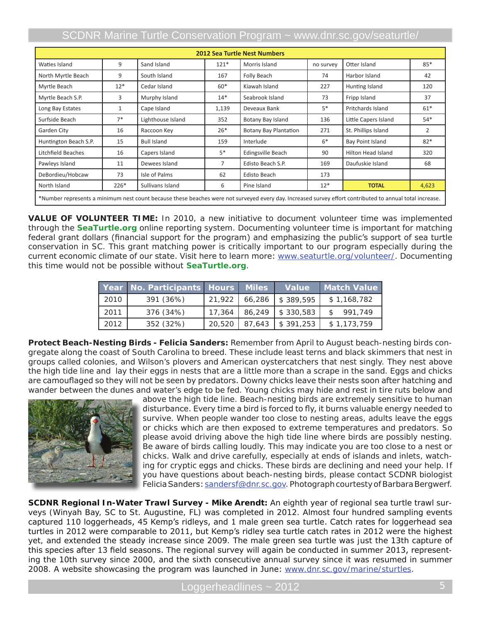# SCDNR Marine Turtle Conservation Program ~ www.dnr.sc.gov/seaturtle/

| <b>2012 Sea Turtle Nest Numbers</b>                                                                                                                      |              |                    |                |                       |           |                      |                |  |  |  |
|----------------------------------------------------------------------------------------------------------------------------------------------------------|--------------|--------------------|----------------|-----------------------|-----------|----------------------|----------------|--|--|--|
| Waties Island                                                                                                                                            | 9            | Sand Island        | $121*$         | Morris Island         | no survey | Otter Island         | $85*$          |  |  |  |
| North Myrtle Beach                                                                                                                                       | 9            | South Island       | 167            | Folly Beach           | 74        | Harbor Island        | 42             |  |  |  |
| Myrtle Beach                                                                                                                                             | $12*$        | Cedar Island       | $60*$          | Kiawah Island         | 227       | Hunting Island       | 120            |  |  |  |
| Myrtle Beach S.P.                                                                                                                                        | 3            | Murphy Island      | $14*$          | Seabrook Island       | 73        | Fripp Island         | 37             |  |  |  |
| Long Bay Estates                                                                                                                                         | $\mathbf{1}$ | Cape Island        | 1,139          | Deveaux Bank          | $5*$      | Pritchards Island    | $61*$          |  |  |  |
| Surfside Beach                                                                                                                                           | $7*$         | Lighthouse Island  | 352            | Botany Bay Island     | 136       | Little Capers Island | $54*$          |  |  |  |
| Garden City                                                                                                                                              | 16           | Raccoon Key        | $26*$          | Botany Bay Plantation | 271       | St. Phillips Island  | $\overline{2}$ |  |  |  |
| Huntington Beach S.P.                                                                                                                                    | 15           | <b>Bull Island</b> | 159            | Interlude             | $6*$      | Bay Point Island     | $82*$          |  |  |  |
| Litchfield Beaches                                                                                                                                       | 16           | Capers Island      | $5*$           | Edingsville Beach     | 90        | Hilton Head Island   | 320            |  |  |  |
| Pawleys Island                                                                                                                                           | 11           | Dewees Island      | $\overline{7}$ | Edisto Beach S.P.     | 169       | Daufuskie Island     | 68             |  |  |  |
| DeBordieu/Hobcaw                                                                                                                                         | 73           | Isle of Palms      | 62             | Edisto Beach          | 173       |                      |                |  |  |  |
| North Island                                                                                                                                             | $226*$       | Sullivans Island   | 6              | Pine Island           | $12*$     | <b>TOTAL</b>         | 4,623          |  |  |  |
| *Number represents a minimum nest count because these beaches were not surveyed every day. Increased survey effort contributed to annual total increase. |              |                    |                |                       |           |                      |                |  |  |  |

**Value of Volunteer Time:** In 2010, a new initiative to document volunteer time was implemented through the **SeaTurtle.org** online reporting system. Documenting volunteer time is important for matching federal grant dollars (financial support for the program) and emphasizing the public's support of sea turtle conservation in SC. This grant matching power is critically important to our program especially during the current economic climate of our state. Visit here to learn more: www.seaturtle.org/volunteer/. Documenting this time would not be possible without **SeaTurtle.org**.

|      | <b>Year No. Participants Hours</b> |        | <b>Miles</b> | <b>Value</b>             | <b>Match Value</b> |
|------|------------------------------------|--------|--------------|--------------------------|--------------------|
| 2010 | 391 (36%)                          | 21,922 | 66,286       | $\frac{1}{2}$ \$ 389.595 | \$1,168,782        |
| 2011 | 376 (34%)                          | 17,364 | 86,249       | $\frac{1}{2}$ \$ 330.583 | 991.749            |
| 2012 | 352 (32%)                          | 20,520 | 87,643       | $\frac{1}{2}$ \$ 391,253 | \$1,173,759        |

**Protect Beach-Nesting Birds - Felicia Sanders:** Remember from April to August beach-nesting birds congregate along the coast of South Carolina to breed. These include least terns and black skimmers that nest in groups called colonies, and Wilson's plovers and American oystercatchers that nest singly. They nest above the high tide line and lay their eggs in nests that are a little more than a scrape in the sand. Eggs and chicks are camouflaged so they will not be seen by predators. Downy chicks leave their nests soon after hatching and wander between the dunes and water's edge to be fed. Young chicks may hide and rest in tire ruts below and



above the high tide line. Beach-nesting birds are extremely sensitive to human disturbance. Every time a bird is forced to fly, it burns valuable energy needed to survive. When people wander too close to nesting areas, adults leave the eggs or chicks which are then exposed to extreme temperatures and predators. So please avoid driving above the high tide line where birds are possibly nesting. Be aware of birds calling loudly. This may indicate you are too close to a nest or chicks. Walk and drive carefully, especially at ends of islands and inlets, watching for cryptic eggs and chicks. These birds are declining and need your help. If you have questions about beach-nesting birds, please contact SCDNR biologist Felicia Sanders: sandersf@dnr.sc.gov. Photograph courtesty of Barbara Bergwerf.

**SCDNR Regional In-Water Trawl Survey - Mike Arendt:** An eighth year of regional sea turtle trawl surveys (Winyah Bay, SC to St. Augustine, FL) was completed in 2012. Almost four hundred sampling events captured 110 loggerheads, 45 Kemp's ridleys, and 1 male green sea turtle. Catch rates for loggerhead sea turtles in 2012 were comparable to 2011, but Kemp's ridley sea turtle catch rates in 2012 were the highest yet, and extended the steady increase since 2009. The male green sea turtle was just the 13th capture of this species after 13 field seasons. The regional survey will again be conducted in summer 2013, representing the 10th survey since 2000, and the sixth consecutive annual survey since it was resumed in summer 2008. A website showcasing the program was launched in June: www.dnr.sc.gov/marine/sturtles.